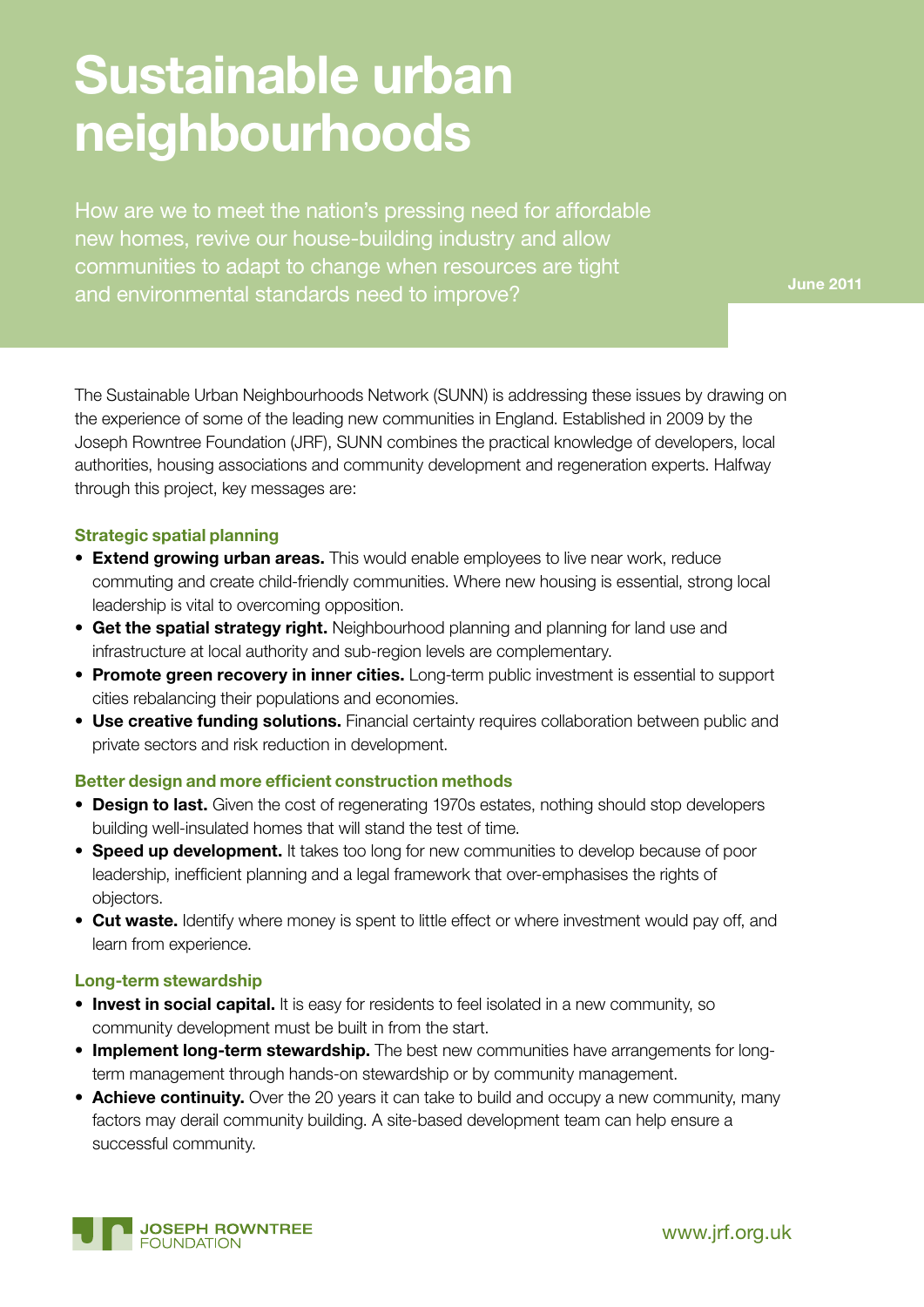# **Sustainable urban neighbourhoods**

How are we to meet the nation's pressing need for affordable new homes, revive our house-building industry and allow communities to adapt to change when resources are tight and environmental standards need to improve?

The Sustainable Urban Neighbourhoods Network (SUNN) is addressing these issues by drawing on the experience of some of the leading new communities in England. Established in 2009 by the Joseph Rowntree Foundation (JRF), SUNN combines the practical knowledge of developers, local authorities, housing associations and community development and regeneration experts. Halfway through this project, key messages are:

# **Strategic spatial planning**

- **Extend growing urban areas.** This would enable employees to live near work, reduce commuting and create child-friendly communities. Where new housing is essential, strong local leadership is vital to overcoming opposition.
- **Get the spatial strategy right.** Neighbourhood planning and planning for land use and infrastructure at local authority and sub-region levels are complementary.
- • **Promote green recovery in inner cities.** Long-term public investment is essential to support cities rebalancing their populations and economies.
- **Use creative funding solutions.** Financial certainty requires collaboration between public and private sectors and risk reduction in development.

# **Better design and more efficient construction methods**

- **Design to last.** Given the cost of regenerating 1970s estates, nothing should stop developers building well-insulated homes that will stand the test of time.
- **Speed up development.** It takes too long for new communities to develop because of poor leadership, inefficient planning and a legal framework that over-emphasises the rights of objectors.
- **Cut waste.** Identify where money is spent to little effect or where investment would pay off, and learn from experience.

# **Long-term stewardship**

- **Invest in social capital.** It is easy for residents to feel isolated in a new community, so community development must be built in from the start.
- • **Implement long-term stewardship.** The best new communities have arrangements for longterm management through hands-on stewardship or by community management.
- **Achieve continuity.** Over the 20 years it can take to build and occupy a new community, many factors may derail community building. A site-based development team can help ensure a successful community.

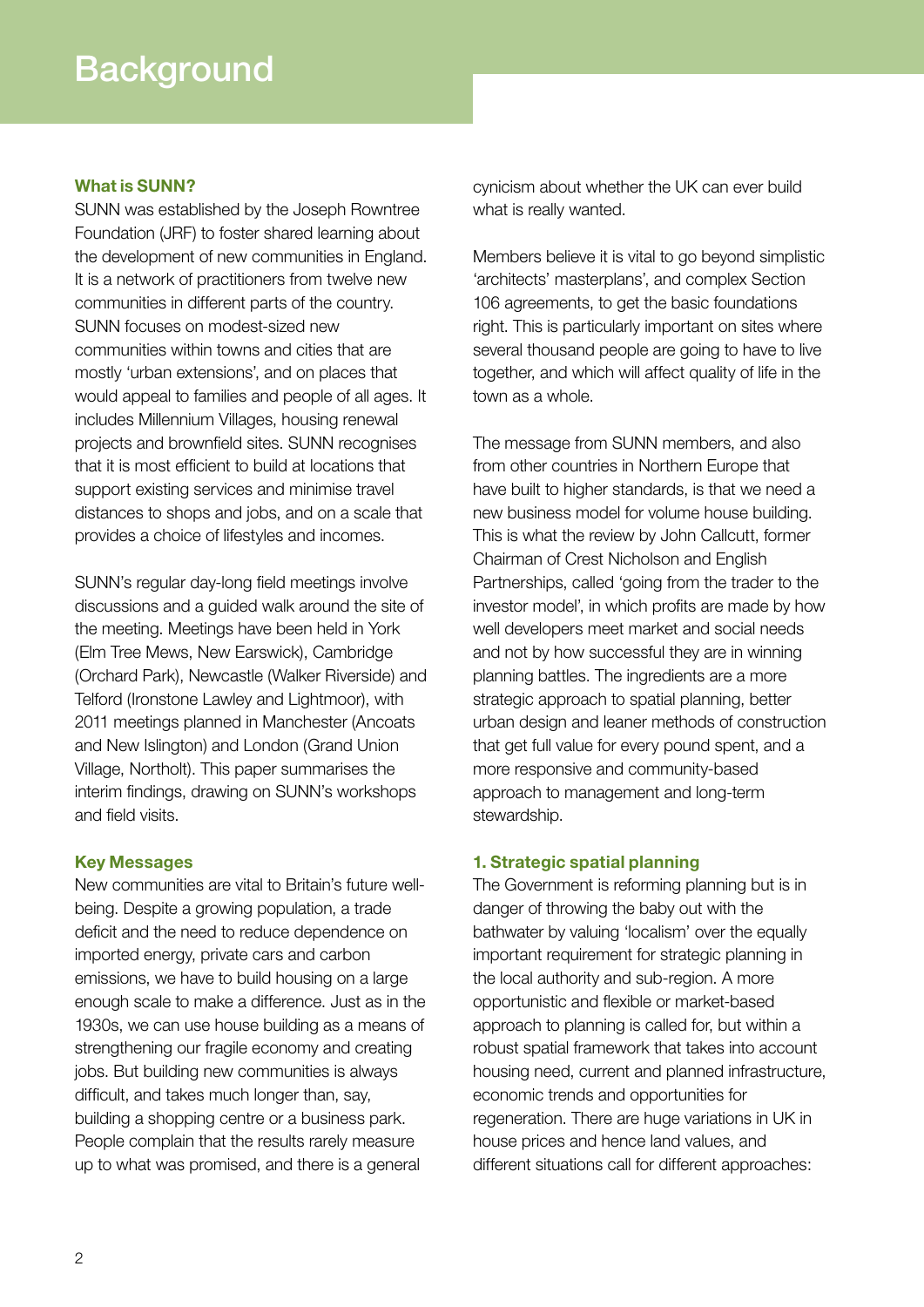#### **What is SUNN?**

SUNN was established by the Joseph Rowntree Foundation (JRF) to foster shared learning about the development of new communities in England. It is a network of practitioners from twelve new communities in different parts of the country. SUNN focuses on modest-sized new communities within towns and cities that are mostly 'urban extensions', and on places that would appeal to families and people of all ages. It includes Millennium Villages, housing renewal projects and brownfield sites. SUNN recognises that it is most efficient to build at locations that support existing services and minimise travel distances to shops and jobs, and on a scale that provides a choice of lifestyles and incomes.

SUNN's regular day-long field meetings involve discussions and a guided walk around the site of the meeting. Meetings have been held in York (Elm Tree Mews, New Earswick), Cambridge (Orchard Park), Newcastle (Walker Riverside) and Telford (Ironstone Lawley and Lightmoor), with 2011 meetings planned in Manchester (Ancoats and New Islington) and London (Grand Union Village, Northolt). This paper summarises the interim findings, drawing on SUNN's workshops and field visits.

# **Key Messages**

New communities are vital to Britain's future wellbeing. Despite a growing population, a trade deficit and the need to reduce dependence on imported energy, private cars and carbon emissions, we have to build housing on a large enough scale to make a difference. Just as in the 1930s, we can use house building as a means of strengthening our fragile economy and creating jobs. But building new communities is always difficult, and takes much longer than, say, building a shopping centre or a business park. People complain that the results rarely measure up to what was promised, and there is a general

cynicism about whether the UK can ever build what is really wanted.

Members believe it is vital to go beyond simplistic 'architects' masterplans', and complex Section 106 agreements, to get the basic foundations right. This is particularly important on sites where several thousand people are going to have to live together, and which will affect quality of life in the town as a whole.

The message from SUNN members, and also from other countries in Northern Europe that have built to higher standards, is that we need a new business model for volume house building. This is what the review by John Callcutt, former Chairman of Crest Nicholson and English Partnerships, called 'going from the trader to the investor model', in which profits are made by how well developers meet market and social needs and not by how successful they are in winning planning battles. The ingredients are a more strategic approach to spatial planning, better urban design and leaner methods of construction that get full value for every pound spent, and a more responsive and community-based approach to management and long-term stewardship.

# **1. Strategic spatial planning**

The Government is reforming planning but is in danger of throwing the baby out with the bathwater by valuing 'localism' over the equally important requirement for strategic planning in the local authority and sub-region. A more opportunistic and flexible or market-based approach to planning is called for, but within a robust spatial framework that takes into account housing need, current and planned infrastructure, economic trends and opportunities for regeneration. There are huge variations in UK in house prices and hence land values, and different situations call for different approaches: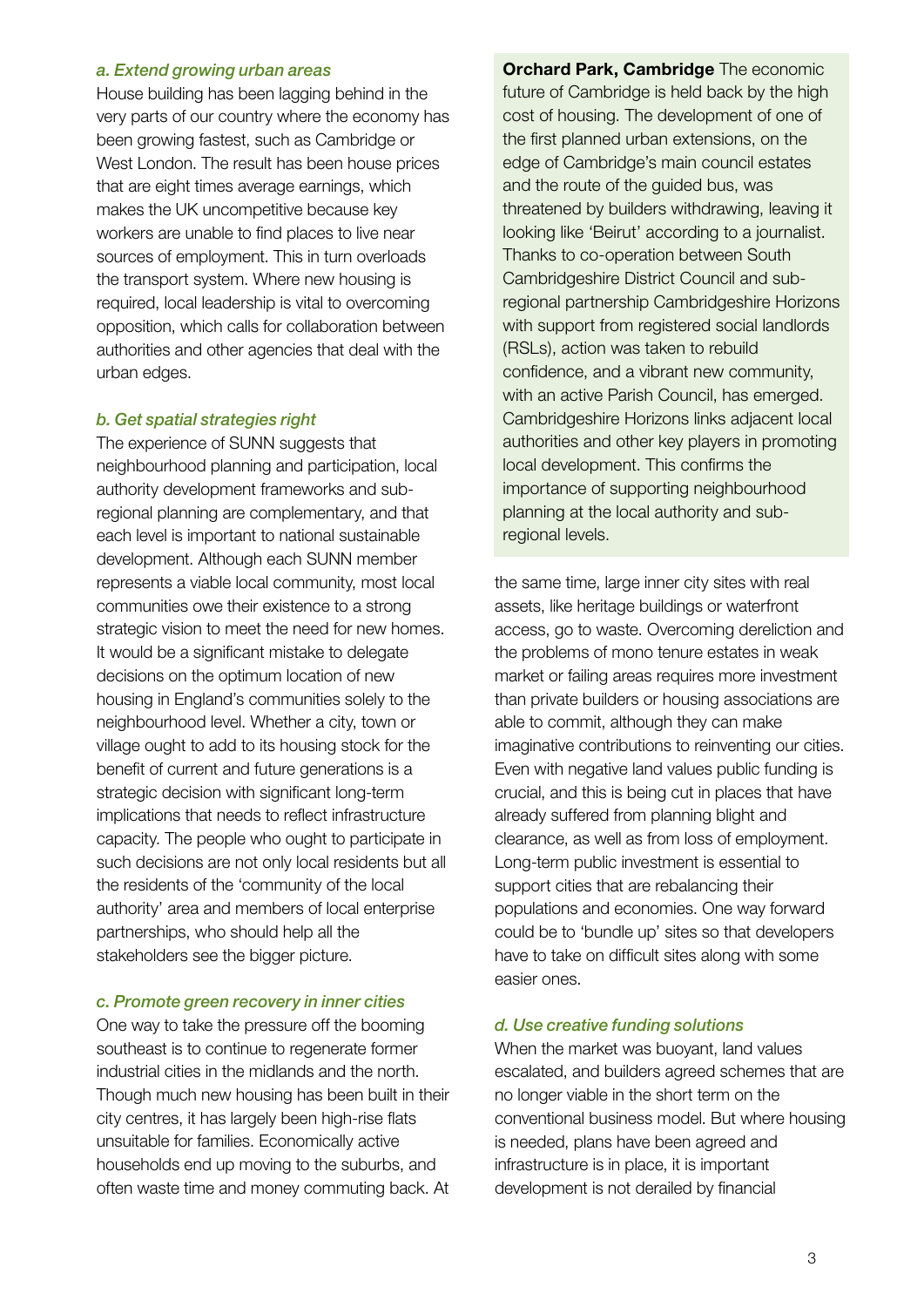#### *a. Extend growing urban areas*

House building has been lagging behind in the very parts of our country where the economy has been growing fastest, such as Cambridge or West London. The result has been house prices that are eight times average earnings, which makes the UK uncompetitive because key workers are unable to find places to live near sources of employment. This in turn overloads the transport system. Where new housing is required, local leadership is vital to overcoming opposition, which calls for collaboration between authorities and other agencies that deal with the urban edges.

#### *b. Get spatial strategies right*

The experience of SUNN suggests that neighbourhood planning and participation, local authority development frameworks and subregional planning are complementary, and that each level is important to national sustainable development. Although each SUNN member represents a viable local community, most local communities owe their existence to a strong strategic vision to meet the need for new homes. It would be a significant mistake to delegate decisions on the optimum location of new housing in England's communities solely to the neighbourhood level. Whether a city, town or village ought to add to its housing stock for the benefit of current and future generations is a strategic decision with significant long-term implications that needs to reflect infrastructure capacity. The people who ought to participate in such decisions are not only local residents but all the residents of the 'community of the local authority' area and members of local enterprise partnerships, who should help all the stakeholders see the bigger picture.

#### *c. Promote green recovery in inner cities*

One way to take the pressure off the booming southeast is to continue to regenerate former industrial cities in the midlands and the north. Though much new housing has been built in their city centres, it has largely been high-rise flats unsuitable for families. Economically active households end up moving to the suburbs, and often waste time and money commuting back. At

**Orchard Park, Cambridge** The economic future of Cambridge is held back by the high cost of housing. The development of one of the first planned urban extensions, on the edge of Cambridge's main council estates and the route of the guided bus, was threatened by builders withdrawing, leaving it looking like 'Beirut' according to a journalist. Thanks to co-operation between South Cambridgeshire District Council and subregional partnership Cambridgeshire Horizons with support from registered social landlords (RSLs), action was taken to rebuild confidence, and a vibrant new community, with an active Parish Council, has emerged. Cambridgeshire Horizons links adjacent local authorities and other key players in promoting local development. This confirms the importance of supporting neighbourhood planning at the local authority and subregional levels.

the same time, large inner city sites with real assets, like heritage buildings or waterfront access, go to waste. Overcoming dereliction and the problems of mono tenure estates in weak market or failing areas requires more investment than private builders or housing associations are able to commit, although they can make imaginative contributions to reinventing our cities. Even with negative land values public funding is crucial, and this is being cut in places that have already suffered from planning blight and clearance, as well as from loss of employment. Long-term public investment is essential to support cities that are rebalancing their populations and economies. One way forward could be to 'bundle up' sites so that developers have to take on difficult sites along with some easier ones.

#### *d. Use creative funding solutions*

When the market was buoyant, land values escalated, and builders agreed schemes that are no longer viable in the short term on the conventional business model. But where housing is needed, plans have been agreed and infrastructure is in place, it is important development is not derailed by financial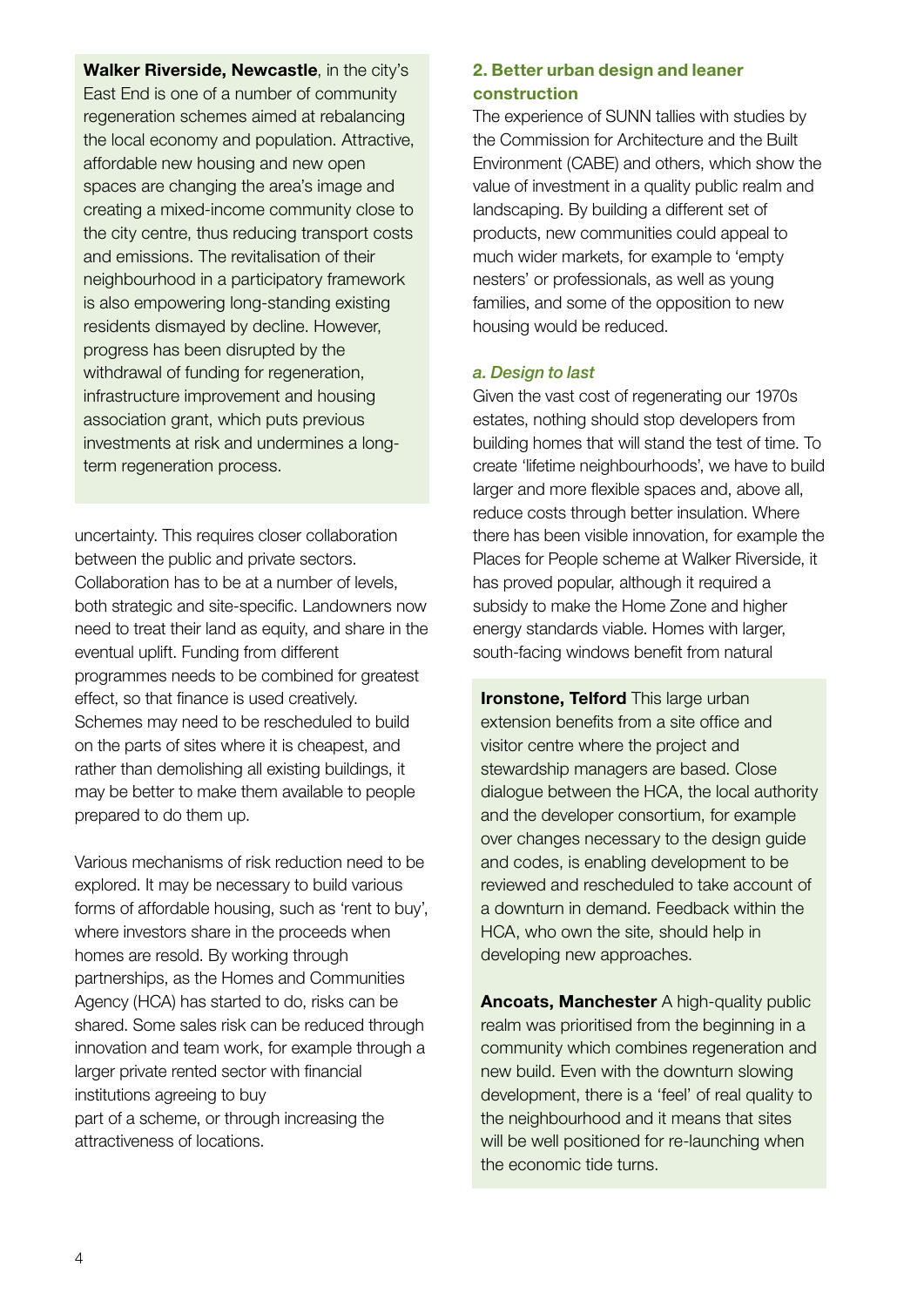**Walker Riverside, Newcastle**, in the city's East End is one of a number of community regeneration schemes aimed at rebalancing the local economy and population. Attractive, affordable new housing and new open spaces are changing the area's image and creating a mixed-income community close to the city centre, thus reducing transport costs and emissions. The revitalisation of their neighbourhood in a participatory framework is also empowering long-standing existing residents dismayed by decline. However, progress has been disrupted by the withdrawal of funding for regeneration, infrastructure improvement and housing association grant, which puts previous investments at risk and undermines a longterm regeneration process.

uncertainty. This requires closer collaboration between the public and private sectors. Collaboration has to be at a number of levels, both strategic and site-specific. Landowners now need to treat their land as equity, and share in the eventual uplift. Funding from different programmes needs to be combined for greatest effect, so that finance is used creatively. Schemes may need to be rescheduled to build on the parts of sites where it is cheapest, and rather than demolishing all existing buildings, it may be better to make them available to people prepared to do them up.

Various mechanisms of risk reduction need to be explored. It may be necessary to build various forms of affordable housing, such as 'rent to buy', where investors share in the proceeds when homes are resold. By working through partnerships, as the Homes and Communities Agency (HCA) has started to do, risks can be shared. Some sales risk can be reduced through innovation and team work, for example through a larger private rented sector with financial institutions agreeing to buy part of a scheme, or through increasing the attractiveness of locations.

# **2. Better urban design and leaner construction**

The experience of SUNN tallies with studies by the Commission for Architecture and the Built Environment (CABE) and others, which show the value of investment in a quality public realm and landscaping. By building a different set of products, new communities could appeal to much wider markets, for example to 'empty nesters' or professionals, as well as young families, and some of the opposition to new housing would be reduced.

# *a. Design to last*

Given the vast cost of regenerating our 1970s estates, nothing should stop developers from building homes that will stand the test of time. To create 'lifetime neighbourhoods', we have to build larger and more flexible spaces and, above all, reduce costs through better insulation. Where there has been visible innovation, for example the Places for People scheme at Walker Riverside, it has proved popular, although it required a subsidy to make the Home Zone and higher energy standards viable. Homes with larger, south-facing windows benefit from natural

**Ironstone, Telford** This large urban extension benefits from a site office and visitor centre where the project and stewardship managers are based. Close dialogue between the HCA, the local authority and the developer consortium, for example over changes necessary to the design guide and codes, is enabling development to be reviewed and rescheduled to take account of a downturn in demand. Feedback within the HCA, who own the site, should help in developing new approaches.

**Ancoats, Manchester** A high-quality public realm was prioritised from the beginning in a community which combines regeneration and new build. Even with the downturn slowing development, there is a 'feel' of real quality to the neighbourhood and it means that sites will be well positioned for re-launching when the economic tide turns.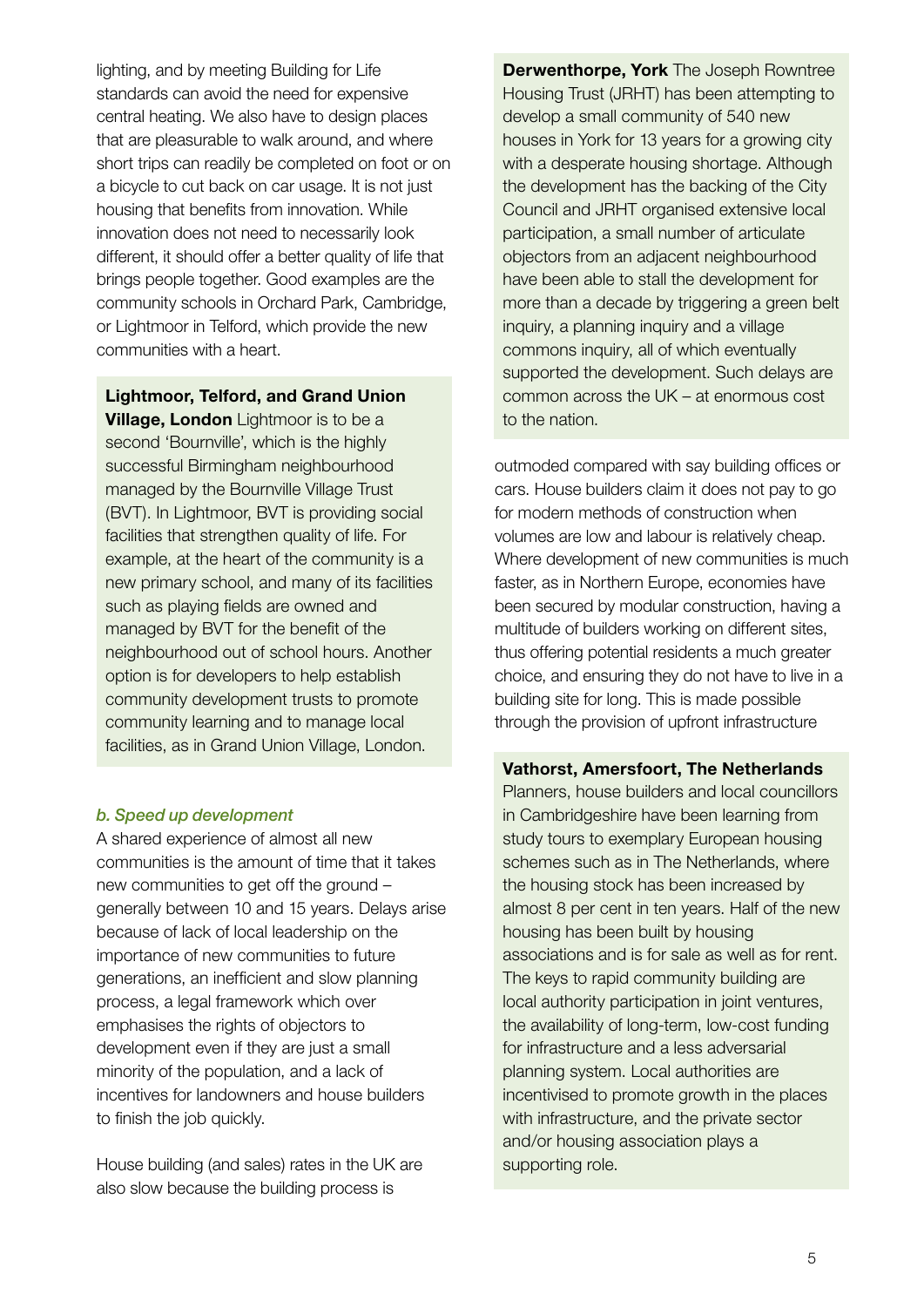lighting, and by meeting Building for Life standards can avoid the need for expensive central heating. We also have to design places that are pleasurable to walk around, and where short trips can readily be completed on foot or on a bicycle to cut back on car usage. It is not just housing that benefits from innovation. While innovation does not need to necessarily look different, it should offer a better quality of life that brings people together. Good examples are the community schools in Orchard Park, Cambridge, or Lightmoor in Telford, which provide the new communities with a heart.

**Lightmoor, Telford, and Grand Union Village, London** Lightmoor is to be a second 'Bournville', which is the highly successful Birmingham neighbourhood managed by the Bournville Village Trust (BVT). In Lightmoor, BVT is providing social facilities that strengthen quality of life. For example, at the heart of the community is a new primary school, and many of its facilities such as playing fields are owned and managed by BVT for the benefit of the neighbourhood out of school hours. Another option is for developers to help establish community development trusts to promote community learning and to manage local facilities, as in Grand Union Village, London.

# *b. Speed up development*

A shared experience of almost all new communities is the amount of time that it takes new communities to get off the ground – generally between 10 and 15 years. Delays arise because of lack of local leadership on the importance of new communities to future generations, an inefficient and slow planning process, a legal framework which over emphasises the rights of objectors to development even if they are just a small minority of the population, and a lack of incentives for landowners and house builders to finish the job quickly.

House building (and sales) rates in the UK are also slow because the building process is

**Derwenthorpe, York** The Joseph Rowntree Housing Trust (JRHT) has been attempting to develop a small community of 540 new houses in York for 13 years for a growing city with a desperate housing shortage. Although the development has the backing of the City Council and JRHT organised extensive local participation, a small number of articulate objectors from an adjacent neighbourhood have been able to stall the development for more than a decade by triggering a green belt inquiry, a planning inquiry and a village commons inquiry, all of which eventually supported the development. Such delays are common across the UK – at enormous cost to the nation.

outmoded compared with say building offices or cars. House builders claim it does not pay to go for modern methods of construction when volumes are low and labour is relatively cheap. Where development of new communities is much faster, as in Northern Europe, economies have been secured by modular construction, having a multitude of builders working on different sites, thus offering potential residents a much greater choice, and ensuring they do not have to live in a building site for long. This is made possible through the provision of upfront infrastructure

# **Vathorst, Amersfoort, The Netherlands**

Planners, house builders and local councillors in Cambridgeshire have been learning from study tours to exemplary European housing schemes such as in The Netherlands, where the housing stock has been increased by almost 8 per cent in ten years. Half of the new housing has been built by housing associations and is for sale as well as for rent. The keys to rapid community building are local authority participation in joint ventures, the availability of long-term, low-cost funding for infrastructure and a less adversarial planning system. Local authorities are incentivised to promote growth in the places with infrastructure, and the private sector and/or housing association plays a supporting role.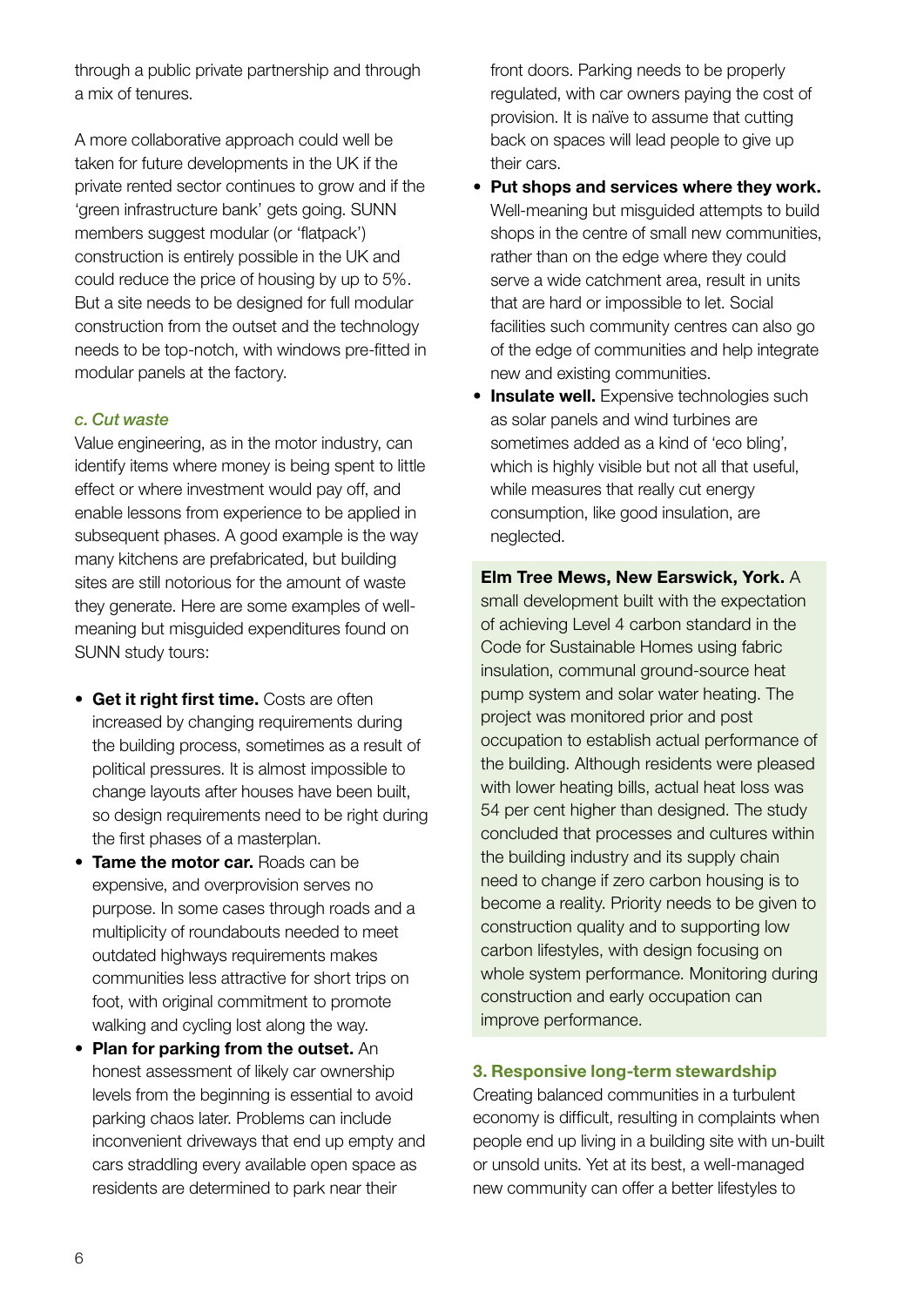through a public private partnership and through a mix of tenures.

A more collaborative approach could well be taken for future developments in the UK if the private rented sector continues to grow and if the 'green infrastructure bank' gets going. SUNN members suggest modular (or 'flatpack') construction is entirely possible in the UK and could reduce the price of housing by up to 5%. But a site needs to be designed for full modular construction from the outset and the technology needs to be top-notch, with windows pre-fitted in modular panels at the factory.

# *c. Cut waste*

Value engineering, as in the motor industry, can identify items where money is being spent to little effect or where investment would pay off, and enable lessons from experience to be applied in subsequent phases. A good example is the way many kitchens are prefabricated, but building sites are still notorious for the amount of waste they generate. Here are some examples of wellmeaning but misguided expenditures found on SUNN study tours:

- • **Get it right first time.** Costs are often increased by changing requirements during the building process, sometimes as a result of political pressures. It is almost impossible to change layouts after houses have been built, so design requirements need to be right during the first phases of a masterplan.
- **Tame the motor car.** Roads can be expensive, and overprovision serves no purpose. In some cases through roads and a multiplicity of roundabouts needed to meet outdated highways requirements makes communities less attractive for short trips on foot, with original commitment to promote walking and cycling lost along the way.
- **Plan for parking from the outset.** An honest assessment of likely car ownership levels from the beginning is essential to avoid parking chaos later. Problems can include inconvenient driveways that end up empty and cars straddling every available open space as residents are determined to park near their

front doors. Parking needs to be properly regulated, with car owners paying the cost of provision. It is naïve to assume that cutting back on spaces will lead people to give up their cars.

- • **Put shops and services where they work.** Well-meaning but misguided attempts to build shops in the centre of small new communities, rather than on the edge where they could serve a wide catchment area, result in units that are hard or impossible to let. Social facilities such community centres can also go of the edge of communities and help integrate new and existing communities.
- **Insulate well.** Expensive technologies such as solar panels and wind turbines are sometimes added as a kind of 'eco bling', which is highly visible but not all that useful, while measures that really cut energy consumption, like good insulation, are neglected.

**Elm Tree Mews, New Earswick, York.** A small development built with the expectation of achieving Level 4 carbon standard in the Code for Sustainable Homes using fabric insulation, communal ground-source heat pump system and solar water heating. The project was monitored prior and post occupation to establish actual performance of the building. Although residents were pleased with lower heating bills, actual heat loss was 54 per cent higher than designed. The study concluded that processes and cultures within the building industry and its supply chain need to change if zero carbon housing is to become a reality. Priority needs to be given to construction quality and to supporting low carbon lifestyles, with design focusing on whole system performance. Monitoring during construction and early occupation can improve performance.

# **3. Responsive long-term stewardship**

Creating balanced communities in a turbulent economy is difficult, resulting in complaints when people end up living in a building site with un-built or unsold units. Yet at its best, a well-managed new community can offer a better lifestyles to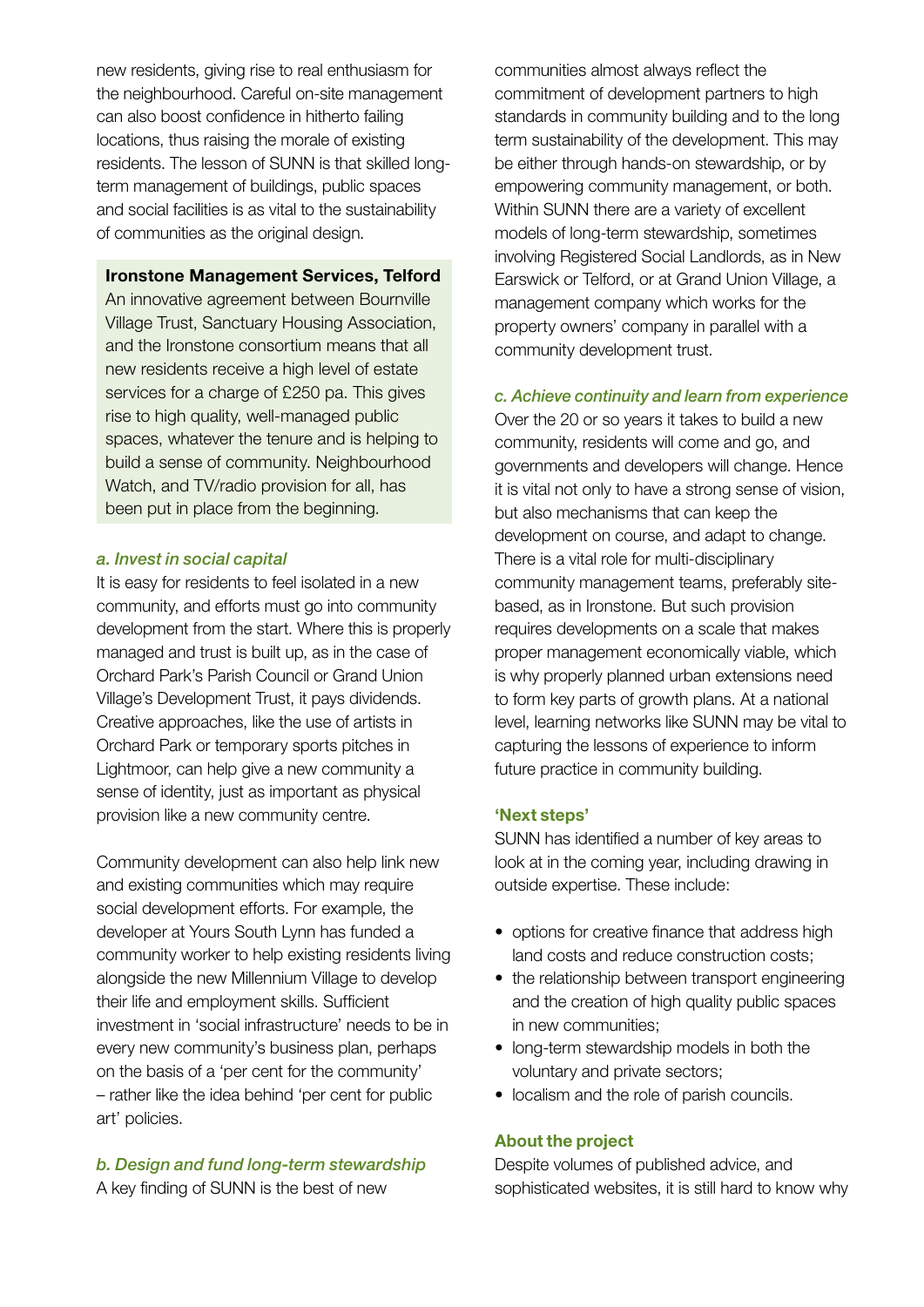new residents, giving rise to real enthusiasm for the neighbourhood. Careful on-site management can also boost confidence in hitherto failing locations, thus raising the morale of existing residents. The lesson of SUNN is that skilled longterm management of buildings, public spaces and social facilities is as vital to the sustainability of communities as the original design.

#### **Ironstone Management Services, Telford**

An innovative agreement between Bournville Village Trust, Sanctuary Housing Association, and the Ironstone consortium means that all new residents receive a high level of estate services for a charge of £250 pa. This gives rise to high quality, well-managed public spaces, whatever the tenure and is helping to build a sense of community. Neighbourhood Watch, and TV/radio provision for all, has been put in place from the beginning.

#### *a. Invest in social capital*

It is easy for residents to feel isolated in a new community, and efforts must go into community development from the start. Where this is properly managed and trust is built up, as in the case of Orchard Park's Parish Council or Grand Union Village's Development Trust, it pays dividends. Creative approaches, like the use of artists in Orchard Park or temporary sports pitches in Lightmoor, can help give a new community a sense of identity, just as important as physical provision like a new community centre.

Community development can also help link new and existing communities which may require social development efforts. For example, the developer at Yours South Lynn has funded a community worker to help existing residents living alongside the new Millennium Village to develop their life and employment skills. Sufficient investment in 'social infrastructure' needs to be in every new community's business plan, perhaps on the basis of a 'per cent for the community' – rather like the idea behind 'per cent for public art' policies.

# *b. Design and fund long-term stewardship*

A key finding of SUNN is the best of new

communities almost always reflect the commitment of development partners to high standards in community building and to the long term sustainability of the development. This may be either through hands-on stewardship, or by empowering community management, or both. Within SUNN there are a variety of excellent models of long-term stewardship, sometimes involving Registered Social Landlords, as in New Earswick or Telford, or at Grand Union Village, a management company which works for the property owners' company in parallel with a community development trust.

#### *c. Achieve continuity and learn from experience*

Over the 20 or so years it takes to build a new community, residents will come and go, and governments and developers will change. Hence it is vital not only to have a strong sense of vision, but also mechanisms that can keep the development on course, and adapt to change. There is a vital role for multi-disciplinary community management teams, preferably sitebased, as in Ironstone. But such provision requires developments on a scale that makes proper management economically viable, which is why properly planned urban extensions need to form key parts of growth plans. At a national level, learning networks like SUNN may be vital to capturing the lessons of experience to inform future practice in community building.

#### **'Next steps'**

SUNN has identified a number of key areas to look at in the coming year, including drawing in outside expertise. These include:

- options for creative finance that address high land costs and reduce construction costs;
- the relationship between transport engineering and the creation of high quality public spaces in new communities;
- long-term stewardship models in both the voluntary and private sectors;
- localism and the role of parish councils.

#### **About the project**

Despite volumes of published advice, and sophisticated websites, it is still hard to know why